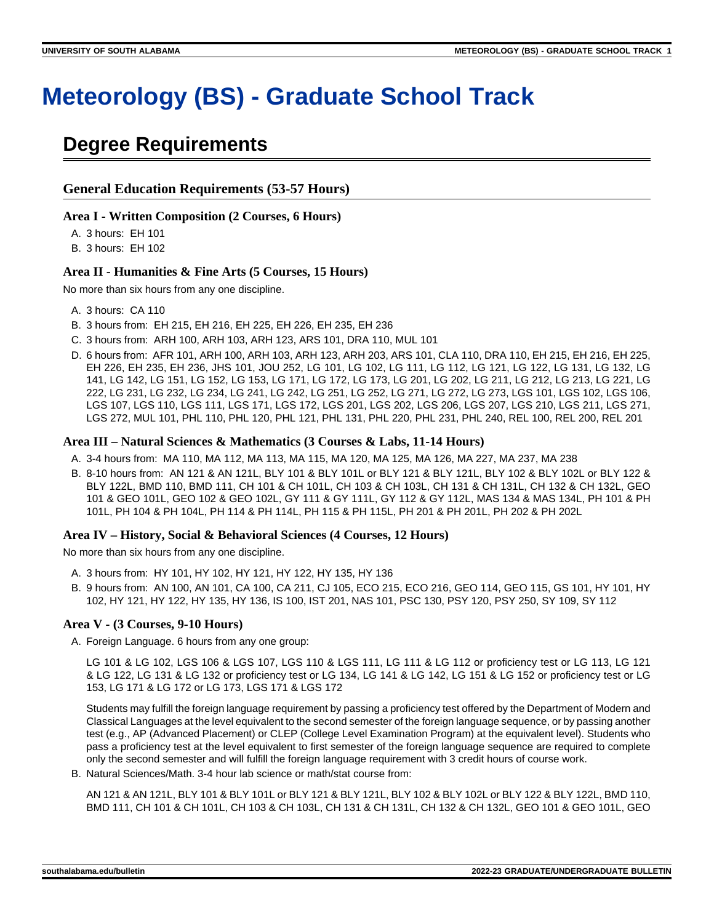# **Meteorology (BS) - Graduate School Track**

# **Degree Requirements**

## **General Education Requirements (53-57 Hours)**

#### **Area I - Written Composition (2 Courses, 6 Hours)**

A. 3 hours: EH 101

B. 3 hours: EH 102

### **Area II - Humanities & Fine Arts (5 Courses, 15 Hours)**

No more than six hours from any one discipline.

- A. 3 hours: CA 110
- B. 3 hours from: EH 215, EH 216, EH 225, EH 226, EH 235, EH 236
- C. 3 hours from: ARH 100, ARH 103, ARH 123, ARS 101, DRA 110, MUL 101
- D. 6 hours from: AFR 101, ARH 100, ARH 103, ARH 123, ARH 203, ARS 101, CLA 110, DRA 110, EH 215, EH 216, EH 225, EH 226, EH 235, EH 236, JHS 101, JOU 252, LG 101, LG 102, LG 111, LG 112, LG 121, LG 122, LG 131, LG 132, LG 141, LG 142, LG 151, LG 152, LG 153, LG 171, LG 172, LG 173, LG 201, LG 202, LG 211, LG 212, LG 213, LG 221, LG 222, LG 231, LG 232, LG 234, LG 241, LG 242, LG 251, LG 252, LG 271, LG 272, LG 273, LGS 101, LGS 102, LGS 106, LGS 107, LGS 110, LGS 111, LGS 171, LGS 172, LGS 201, LGS 202, LGS 206, LGS 207, LGS 210, LGS 211, LGS 271, LGS 272, MUL 101, PHL 110, PHL 120, PHL 121, PHL 131, PHL 220, PHL 231, PHL 240, REL 100, REL 200, REL 201

### **Area III – Natural Sciences & Mathematics (3 Courses & Labs, 11-14 Hours)**

- A. 3-4 hours from: MA 110, MA 112, MA 113, MA 115, MA 120, MA 125, MA 126, MA 227, MA 237, MA 238
- B. 8-10 hours from: AN 121 & AN 121L, BLY 101 & BLY 101L or BLY 121 & BLY 121L, BLY 102 & BLY 102L or BLY 122 & BLY 122L, BMD 110, BMD 111, CH 101 & CH 101L, CH 103 & CH 103L, CH 131 & CH 131L, CH 132 & CH 132L, GEO 101 & GEO 101L, GEO 102 & GEO 102L, GY 111 & GY 111L, GY 112 & GY 112L, MAS 134 & MAS 134L, PH 101 & PH 101L, PH 104 & PH 104L, PH 114 & PH 114L, PH 115 & PH 115L, PH 201 & PH 201L, PH 202 & PH 202L

#### **Area IV – History, Social & Behavioral Sciences (4 Courses, 12 Hours)**

No more than six hours from any one discipline.

- A. 3 hours from: HY 101, HY 102, HY 121, HY 122, HY 135, HY 136
- B. 9 hours from: AN 100, AN 101, CA 100, CA 211, CJ 105, ECO 215, ECO 216, GEO 114, GEO 115, GS 101, HY 101, HY 102, HY 121, HY 122, HY 135, HY 136, IS 100, IST 201, NAS 101, PSC 130, PSY 120, PSY 250, SY 109, SY 112

### **Area V - (3 Courses, 9-10 Hours)**

A. Foreign Language. 6 hours from any one group:

LG 101 & LG 102, LGS 106 & LGS 107, LGS 110 & LGS 111, LG 111 & LG 112 or proficiency test or LG 113, LG 121 & LG 122, LG 131 & LG 132 or proficiency test or LG 134, LG 141 & LG 142, LG 151 & LG 152 or proficiency test or LG 153, LG 171 & LG 172 or LG 173, LGS 171 & LGS 172

Students may fulfill the foreign language requirement by passing a proficiency test offered by the Department of Modern and Classical Languages at the level equivalent to the second semester of the foreign language sequence, or by passing another test (e.g., AP (Advanced Placement) or CLEP (College Level Examination Program) at the equivalent level). Students who pass a proficiency test at the level equivalent to first semester of the foreign language sequence are required to complete only the second semester and will fulfill the foreign language requirement with 3 credit hours of course work.

B. Natural Sciences/Math. 3-4 hour lab science or math/stat course from:

AN 121 & AN 121L, BLY 101 & BLY 101L or BLY 121 & BLY 121L, BLY 102 & BLY 102L or BLY 122 & BLY 122L, BMD 110, BMD 111, CH 101 & CH 101L, CH 103 & CH 103L, CH 131 & CH 131L, CH 132 & CH 132L, GEO 101 & GEO 101L, GEO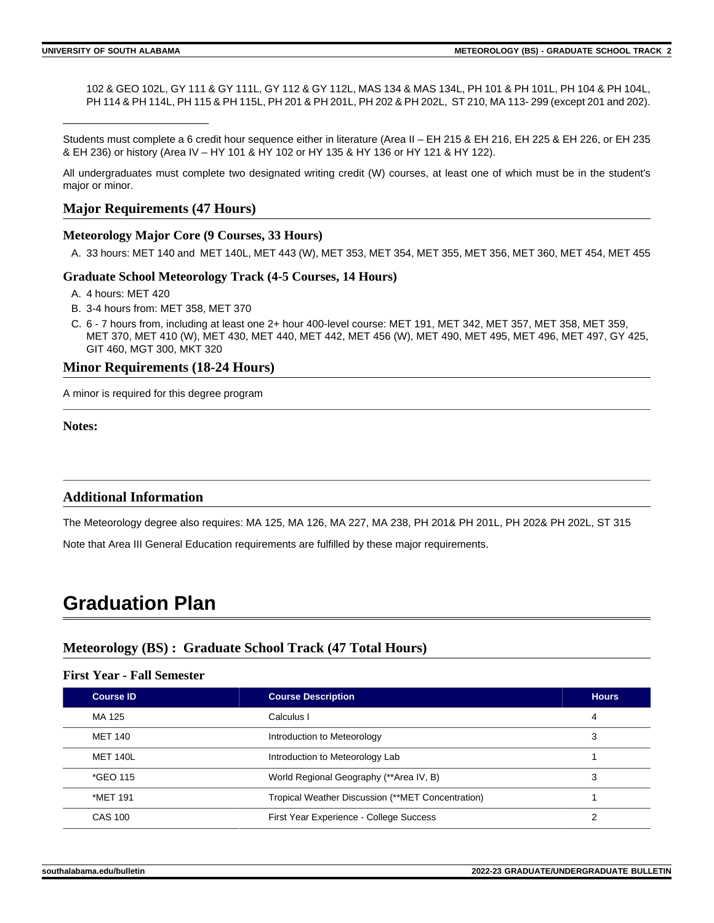\_\_\_\_\_\_\_\_\_\_\_\_\_\_\_\_\_\_\_\_\_\_\_\_\_

102 & GEO 102L, GY 111 & GY 111L, GY 112 & GY 112L, MAS 134 & MAS 134L, PH 101 & PH 101L, PH 104 & PH 104L, PH 114 & PH 114L, PH 115 & PH 115L, PH 201 & PH 201L, PH 202 & PH 202L, ST 210, MA 113-299 (except 201 and 202).

Students must complete a 6 credit hour sequence either in literature (Area II – EH 215 & EH 216, EH 225 & EH 226, or EH 235 & EH 236) or history (Area IV – HY 101 & HY 102 or HY 135 & HY 136 or HY 121 & HY 122).

All undergraduates must complete two designated writing credit (W) courses, at least one of which must be in the student's major or minor.

### **Major Requirements (47 Hours)**

#### **Meteorology Major Core (9 Courses, 33 Hours)**

A. 33 hours: MET 140 and MET 140L, MET 443 (W), MET 353, MET 354, MET 355, MET 356, MET 360, MET 454, MET 455

#### **Graduate School Meteorology Track (4-5 Courses, 14 Hours)**

- A. 4 hours: MET 420
- B. 3-4 hours from: MET 358, MET 370
- C. 6 7 hours from, including at least one 2+ hour 400-level course: MET 191, MET 342, MET 357, MET 358, MET 359, MET 370, MET 410 (W), MET 430, MET 440, MET 442, MET 456 (W), MET 490, MET 495, MET 496, MET 497, GY 425, GIT 460, MGT 300, MKT 320

#### **Minor Requirements (18-24 Hours)**

A minor is required for this degree program

**Notes:**

#### **Additional Information**

The Meteorology degree also requires: MA 125, MA 126, MA 227, MA 238, PH 201& PH 201L, PH 202& PH 202L, ST 315

Note that Area III General Education requirements are fulfilled by these major requirements.

# **Graduation Plan**

## **Meteorology (BS) : Graduate School Track (47 Total Hours)**

#### **First Year - Fall Semester**

| <b>Course ID</b> | <b>Course Description</b>                         | <b>Hours</b> |
|------------------|---------------------------------------------------|--------------|
| MA 125           | Calculus I                                        | 4            |
| MET 140          | Introduction to Meteorology                       | 3            |
| <b>MET 140L</b>  | Introduction to Meteorology Lab                   |              |
| *GEO 115         | World Regional Geography (**Area IV, B)           | 3            |
| *MET 191         | Tropical Weather Discussion (**MET Concentration) |              |
| <b>CAS 100</b>   | First Year Experience - College Success           | ົ            |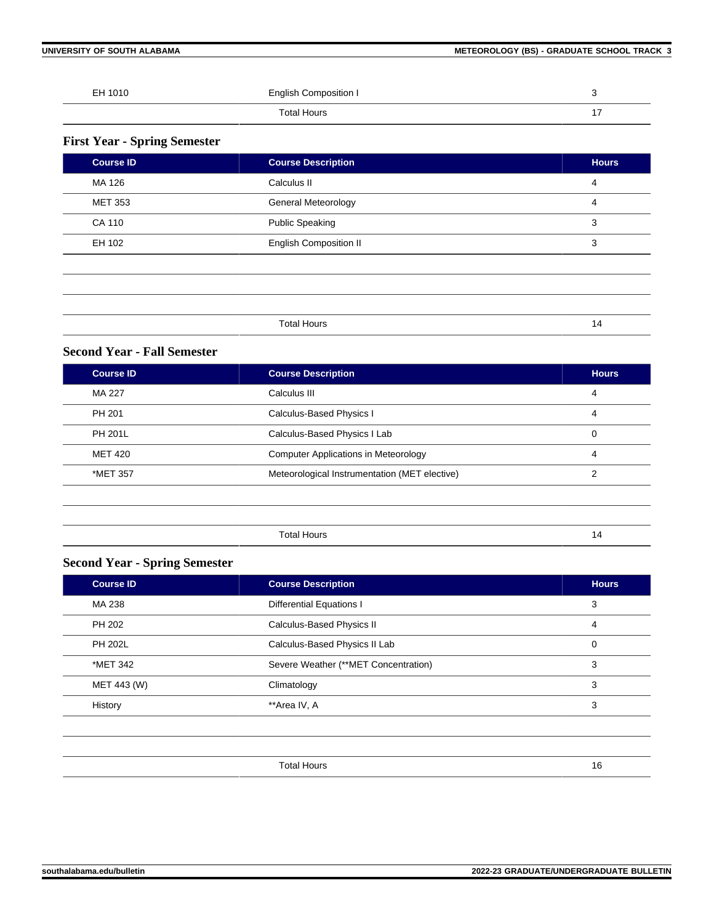**UNIVERSITY OF SOUTH ALABAMA METEOROLOGY (BS) - GRADUATE SCHOOL TRACK 3** 

| EH 1010 | <b>English Composition I</b> | ີ   |
|---------|------------------------------|-----|
|         | Total Hours                  | . – |

# **First Year - Spring Semester**

| <b>Course ID</b> | <b>Course Description</b>     | <b>Hours</b> |
|------------------|-------------------------------|--------------|
| MA 126           | Calculus II                   | 4            |
| <b>MET 353</b>   | General Meteorology           | 4            |
| <b>CA 110</b>    | <b>Public Speaking</b>        | 3            |
| EH 102           | <b>English Composition II</b> | 3            |
|                  |                               |              |
|                  |                               |              |
|                  |                               |              |
|                  | <b>Total Hours</b>            | 14           |

# **Second Year - Fall Semester**

| <b>Course ID</b> | <b>Course Description</b>                     | <b>Hours</b> |
|------------------|-----------------------------------------------|--------------|
| MA 227           | Calculus III                                  | 4            |
| PH 201           | Calculus-Based Physics I                      | 4            |
| <b>PH 201L</b>   | Calculus-Based Physics I Lab                  | 0            |
| <b>MET 420</b>   | <b>Computer Applications in Meteorology</b>   | 4            |
| *MET 357         | Meteorological Instrumentation (MET elective) | 2            |
|                  |                                               |              |
|                  |                                               |              |
|                  | <b>Total Hours</b>                            | 14           |

# **Second Year - Spring Semester**

| <b>Course ID</b> | <b>Course Description</b>            | <b>Hours</b> |
|------------------|--------------------------------------|--------------|
| MA 238           | <b>Differential Equations I</b>      | 3            |
| PH 202           | Calculus-Based Physics II            | 4            |
| <b>PH 202L</b>   | Calculus-Based Physics II Lab        | 0            |
| *MET 342         | Severe Weather (**MET Concentration) | 3            |
| MET 443 (W)      | Climatology                          | 3            |
| History          | **Area IV, A                         | 3            |

|  | יי<br>$\sim$ |  |
|--|--------------|--|
|  |              |  |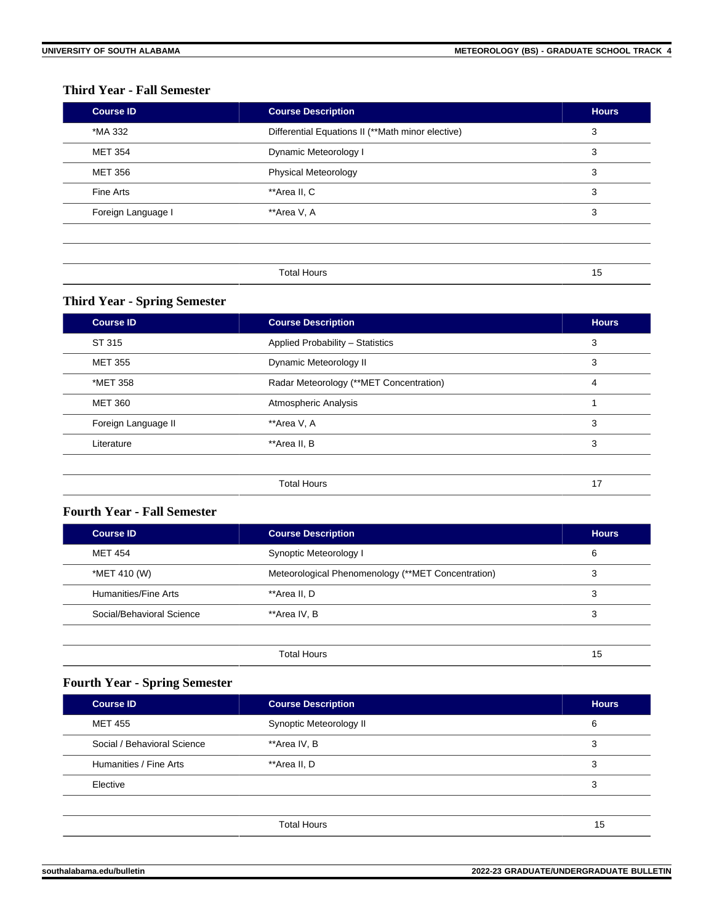# **Third Year - Fall Semester**

| <b>Course ID</b>   | <b>Course Description</b>                         | <b>Hours</b> |
|--------------------|---------------------------------------------------|--------------|
| *MA 332            | Differential Equations II (**Math minor elective) | 3            |
| <b>MET 354</b>     | Dynamic Meteorology I                             | 3            |
| <b>MET 356</b>     | <b>Physical Meteorology</b>                       | 3            |
| Fine Arts          | **Area II, C                                      | 3            |
| Foreign Language I | **Area V, A                                       | 3            |
|                    |                                                   |              |
|                    |                                                   |              |
|                    | <b>Total Hours</b>                                | 15           |

# **Third Year - Spring Semester**

| <b>Course ID</b>    | <b>Course Description</b>               | <b>Hours</b> |
|---------------------|-----------------------------------------|--------------|
| ST 315              | Applied Probability - Statistics        | 3            |
| <b>MET 355</b>      | Dynamic Meteorology II                  | 3            |
| *MET 358            | Radar Meteorology (**MET Concentration) | 4            |
| <b>MET 360</b>      | Atmospheric Analysis                    |              |
| Foreign Language II | **Area V, A                             | 3            |
| Literature          | **Area II, B                            | 3            |
|                     |                                         |              |
|                     | <b>Total Hours</b>                      | 17           |

# **Fourth Year - Fall Semester**

| <b>Course ID</b>          | <b>Course Description</b>                          | <b>Hours</b> |
|---------------------------|----------------------------------------------------|--------------|
| <b>MET 454</b>            | Synoptic Meteorology I                             | 6            |
| *MET 410 (W)              | Meteorological Phenomenology (**MET Concentration) | 3            |
| Humanities/Fine Arts      | **Area II. D                                       | 3            |
| Social/Behavioral Science | **Area IV, B                                       | 3            |
|                           |                                                    |              |
|                           | Total Hours                                        | 15           |

# **Fourth Year - Spring Semester**

| <b>Course ID</b>            | <b>Course Description</b> | <b>Hours</b> |
|-----------------------------|---------------------------|--------------|
| <b>MET 455</b>              | Synoptic Meteorology II   | 6            |
| Social / Behavioral Science | **Area IV, B              | 3            |
| Humanities / Fine Arts      | **Area II, D              | 3            |
| Elective                    |                           | 3            |
|                             |                           |              |
|                             | <b>Total Hours</b>        | 15           |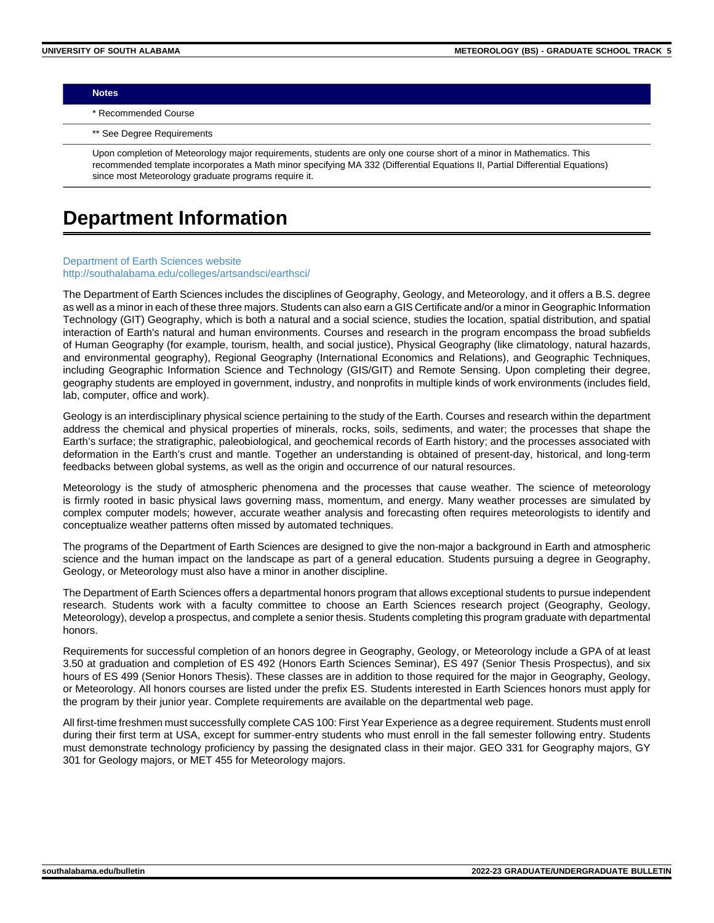**Notes**

\* Recommended Course

\*\* See Degree Requirements

Upon completion of Meteorology major requirements, students are only one course short of a minor in Mathematics. This recommended template incorporates a Math minor specifying MA 332 (Differential Equations II, Partial Differential Equations) since most Meteorology graduate programs require it.

# **Department Information**

#### [Department of Earth Sciences website](https://www.southalabama.edu/earthsci/) [http://southalabama.edu/colleges/artsandsci/earthsci/](https://www.southalabama.edu/colleges/artsandsci/earthsci/)

The Department of Earth Sciences includes the disciplines of Geography, Geology, and Meteorology, and it offers a B.S. degree as well as a minor in each of these three majors. Students can also earn a GIS Certificate and/or a minor in Geographic Information Technology (GIT) Geography, which is both a natural and a social science, studies the location, spatial distribution, and spatial interaction of Earth's natural and human environments. Courses and research in the program encompass the broad subfields of Human Geography (for example, tourism, health, and social justice), Physical Geography (like climatology, natural hazards, and environmental geography), Regional Geography (International Economics and Relations), and Geographic Techniques, including Geographic Information Science and Technology (GIS/GIT) and Remote Sensing. Upon completing their degree, geography students are employed in government, industry, and nonprofits in multiple kinds of work environments (includes field, lab, computer, office and work).

Geology is an interdisciplinary physical science pertaining to the study of the Earth. Courses and research within the department address the chemical and physical properties of minerals, rocks, soils, sediments, and water; the processes that shape the Earth's surface; the stratigraphic, paleobiological, and geochemical records of Earth history; and the processes associated with deformation in the Earth's crust and mantle. Together an understanding is obtained of present-day, historical, and long-term feedbacks between global systems, as well as the origin and occurrence of our natural resources.

Meteorology is the study of atmospheric phenomena and the processes that cause weather. The science of meteorology is firmly rooted in basic physical laws governing mass, momentum, and energy. Many weather processes are simulated by complex computer models; however, accurate weather analysis and forecasting often requires meteorologists to identify and conceptualize weather patterns often missed by automated techniques.

The programs of the Department of Earth Sciences are designed to give the non-major a background in Earth and atmospheric science and the human impact on the landscape as part of a general education. Students pursuing a degree in Geography, Geology, or Meteorology must also have a minor in another discipline.

The Department of Earth Sciences offers a departmental honors program that allows exceptional students to pursue independent research. Students work with a faculty committee to choose an Earth Sciences research project (Geography, Geology, Meteorology), develop a prospectus, and complete a senior thesis. Students completing this program graduate with departmental honors.

Requirements for successful completion of an honors degree in Geography, Geology, or Meteorology include a GPA of at least 3.50 at graduation and completion of ES 492 (Honors Earth Sciences Seminar), ES 497 (Senior Thesis Prospectus), and six hours of ES 499 (Senior Honors Thesis). These classes are in addition to those required for the major in Geography, Geology, or Meteorology. All honors courses are listed under the prefix ES. Students interested in Earth Sciences honors must apply for the program by their junior year. Complete requirements are available on the departmental web page.

All first-time freshmen must successfully complete CAS 100: First Year Experience as a degree requirement. Students must enroll during their first term at USA, except for summer-entry students who must enroll in the fall semester following entry. Students must demonstrate technology proficiency by passing the designated class in their major. GEO 331 for Geography majors, GY 301 for Geology majors, or MET 455 for Meteorology majors.